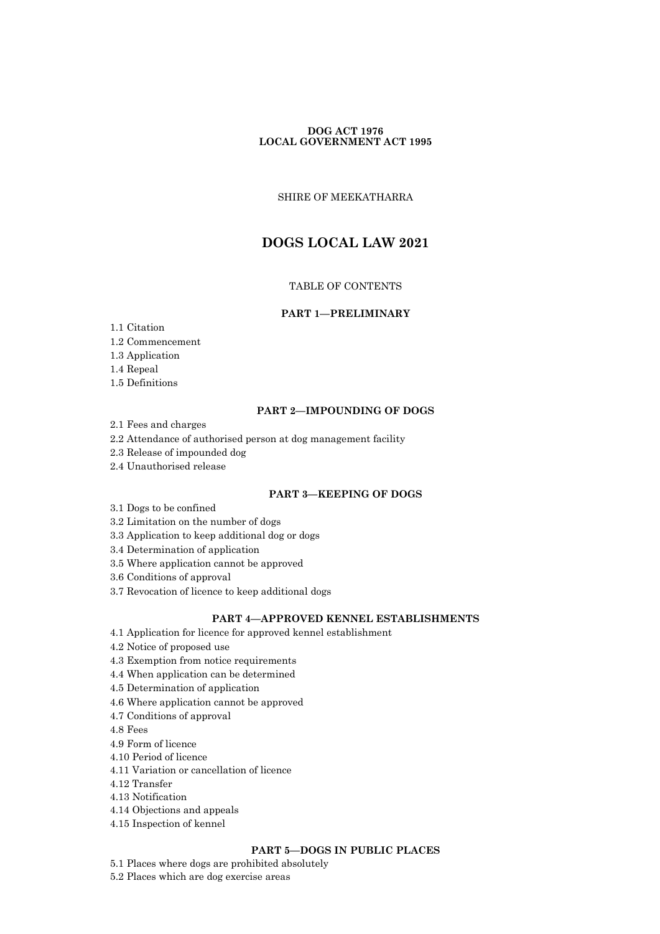# **DOG ACT 1976 LOCAL GOVERNMENT ACT 1995**

SHIRE OF MEEKATHARRA

# **DOGS LOCAL LAW 2021**

# TABLE OF CONTENTS

### **PART 1—PRELIMINARY**

- 1.1 Citation
- 1.2 Commencement
- 1.3 Application
- 1.4 Repeal
- 1.5 Definitions

# **PART 2—IMPOUNDING OF DOGS**

- 2.1 Fees and charges
- 2.2 Attendance of authorised person at dog management facility
- 2.3 Release of impounded dog
- 2.4 Unauthorised release

# **PART 3—KEEPING OF DOGS**

- 3.1 Dogs to be confined
- 3.2 Limitation on the number of dogs
- 3.3 Application to keep additional dog or dogs
- 3.4 Determination of application
- 3.5 Where application cannot be approved
- 3.6 Conditions of approval
- 3.7 Revocation of licence to keep additional dogs

# **PART 4—APPROVED KENNEL ESTABLISHMENTS**

- 4.1 Application for licence for approved kennel establishment
- 4.2 Notice of proposed use
- 4.3 Exemption from notice requirements
- 4.4 When application can be determined
- 4.5 Determination of application
- 4.6 Where application cannot be approved
- 4.7 Conditions of approval
- 4.8 Fees
- 4.9 Form of licence
- 4.10 Period of licence
- 4.11 Variation or cancellation of licence
- 4.12 Transfer
- 4.13 Notification
- 4.14 Objections and appeals
- 4.15 Inspection of kennel

# **PART 5—DOGS IN PUBLIC PLACES**

- 5.1 Places where dogs are prohibited absolutely
- 5.2 Places which are dog exercise areas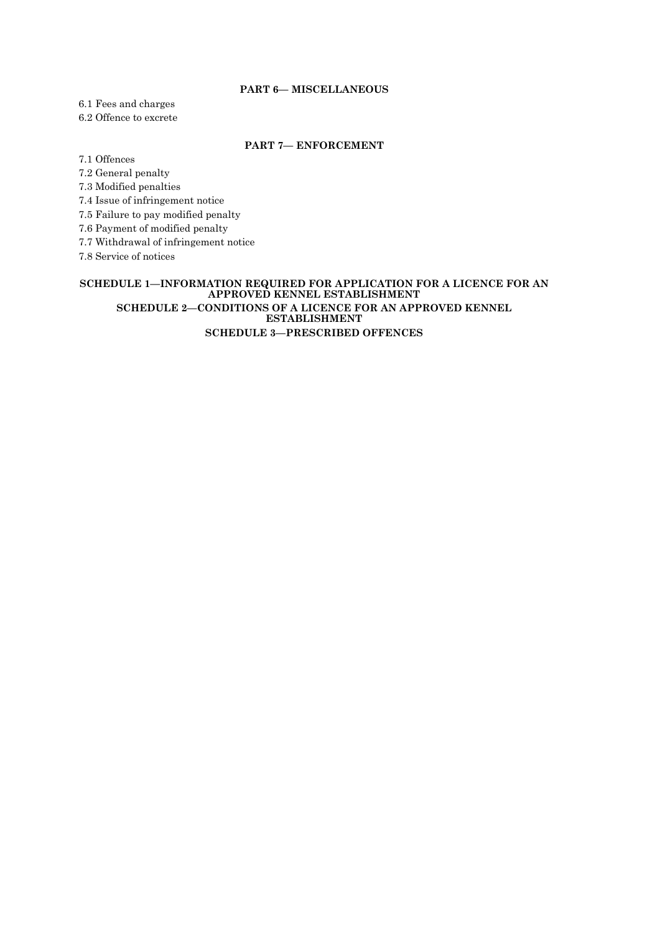# **PART 6— MISCELLANEOUS**

6.1 Fees and charges

6.2 Offence to excrete

# **PART 7— ENFORCEMENT**

7.1 Offences

7.2 General penalty

7.3 Modified penalties

7.4 Issue of infringement notice

7.5 Failure to pay modified penalty

7.6 Payment of modified penalty

7.7 Withdrawal of infringement notice

7.8 Service of notices

### **SCHEDULE 1—INFORMATION REQUIRED FOR APPLICATION FOR A LICENCE FOR AN APPROVED KENNEL ESTABLISHMENT SCHEDULE 2—CONDITIONS OF A LICENCE FOR AN APPROVED KENNEL ESTABLISHMENT SCHEDULE 3—PRESCRIBED OFFENCES**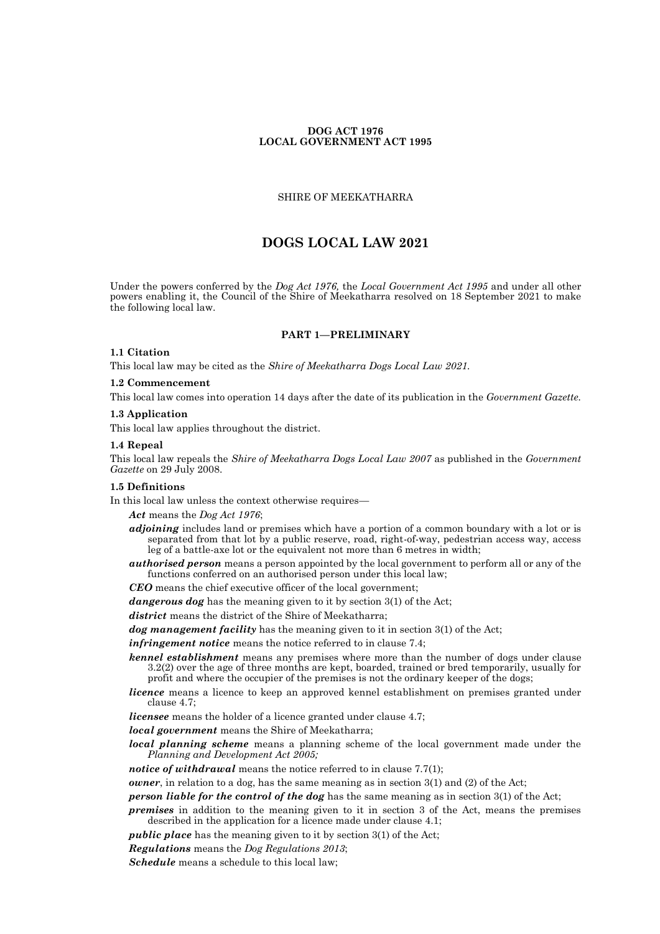# **DOG ACT 1976 LOCAL GOVERNMENT ACT 1995**

#### SHIRE OF MEEKATHARRA

# **DOGS LOCAL LAW 2021**

Under the powers conferred by the *Dog Act 1976,* the *Local Government Act 1995* and under all other powers enabling it, the Council of the Shire of Meekatharra resolved on 18 September 2021 to make the following local law.

# **PART 1—PRELIMINARY**

# **1.1 Citation**

This local law may be cited as the *Shire of Meekatharra Dogs Local Law 2021.*

# **1.2 Commencement**

This local law comes into operation 14 days after the date of its publication in the *Government Gazette.*

#### **1.3 Application**

This local law applies throughout the district.

#### **1.4 Repeal**

This local law repeals the *Shire of Meekatharra Dogs Local Law 2007* as published in the *Government Gazette* on 29 July 2008.

#### **1.5 Definitions**

In this local law unless the context otherwise requires—

*Act* means the *Dog Act 1976*;

- *adjoining* includes land or premises which have a portion of a common boundary with a lot or is separated from that lot by a public reserve, road, right-of-way, pedestrian access way, access leg of a battle-axe lot or the equivalent not more than 6 metres in width;
- *authorised person* means a person appointed by the local government to perform all or any of the functions conferred on an authorised person under this local law;
- *CEO* means the chief executive officer of the local government;
- *dangerous dog* has the meaning given to it by section 3(1) of the Act;

*district* means the district of the Shire of Meekatharra;

*dog management facility* has the meaning given to it in section 3(1) of the Act;

*infringement notice* means the notice referred to in clause 7.4;

- *kennel establishment* means any premises where more than the number of dogs under clause 3.2(2) over the age of three months are kept, boarded, trained or bred temporarily, usually for profit and where the occupier of the premises is not the ordinary keeper of the dogs;
- *licence* means a licence to keep an approved kennel establishment on premises granted under clause 4.7;
- *licensee* means the holder of a licence granted under clause 4.7;
- *local government* means the Shire of Meekatharra;
- *local planning scheme* means a planning scheme of the local government made under the *Planning and Development Act 2005;*
- *notice of withdrawal* means the notice referred to in clause 7.7(1);
- *owner*, in relation to a dog, has the same meaning as in section 3(1) and (2) of the Act;

*person liable for the control of the dog* has the same meaning as in section 3(1) of the Act;

*premises* in addition to the meaning given to it in section 3 of the Act, means the premises described in the application for a licence made under clause 4.1;

*public place* has the meaning given to it by section 3(1) of the Act;

*Regulations* means the *Dog Regulations 2013*;

*Schedule* means a schedule to this local law;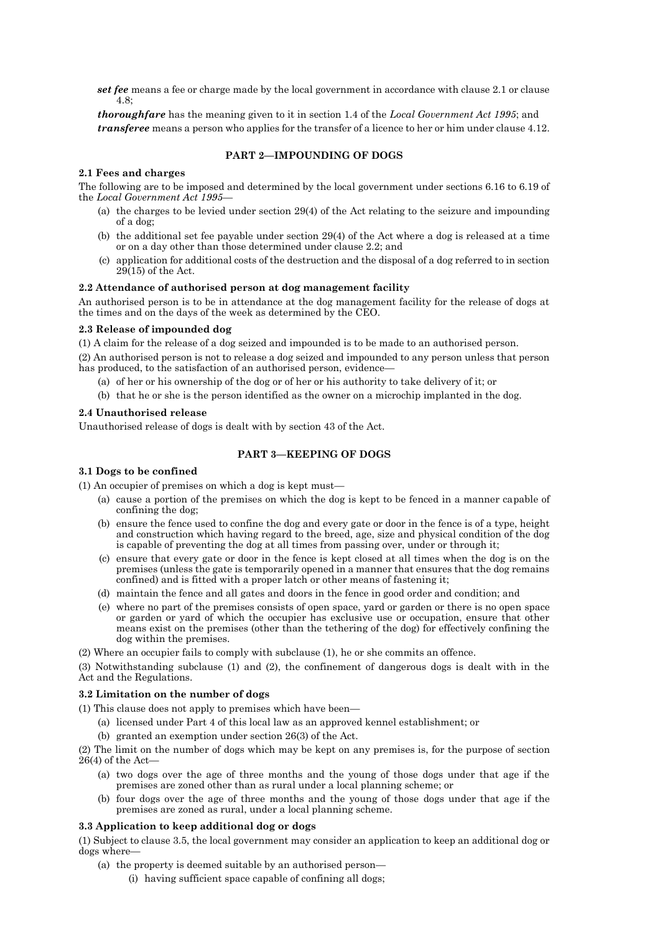*set fee* means a fee or charge made by the local government in accordance with clause 2.1 or clause 4.8;

*thoroughfare* has the meaning given to it in section 1.4 of the *Local Government Act 1995*; and *transferee* means a person who applies for the transfer of a licence to her or him under clause 4.12.

# **PART 2—IMPOUNDING OF DOGS**

### **2.1 Fees and charges**

The following are to be imposed and determined by the local government under sections 6.16 to 6.19 of the *Local Government Act 1995*—

- (a) the charges to be levied under section 29(4) of the Act relating to the seizure and impounding of a dog;
- (b) the additional set fee payable under section 29(4) of the Act where a dog is released at a time or on a day other than those determined under clause 2.2; and
- (c) application for additional costs of the destruction and the disposal of a dog referred to in section  $2\overline{9}$ (15) of the Act.

#### **2.2 Attendance of authorised person at dog management facility**

An authorised person is to be in attendance at the dog management facility for the release of dogs at the times and on the days of the week as determined by the CEO.

#### **2.3 Release of impounded dog**

(1) A claim for the release of a dog seized and impounded is to be made to an authorised person.

(2) An authorised person is not to release a dog seized and impounded to any person unless that person has produced, to the satisfaction of an authorised person, evidence-

- (a) of her or his ownership of the dog or of her or his authority to take delivery of it; or
- (b) that he or she is the person identified as the owner on a microchip implanted in the dog.

#### **2.4 Unauthorised release**

Unauthorised release of dogs is dealt with by section 43 of the Act.

### **PART 3—KEEPING OF DOGS**

### **3.1 Dogs to be confined**

(1) An occupier of premises on which a dog is kept must—

- (a) cause a portion of the premises on which the dog is kept to be fenced in a manner capable of confining the dog;
- (b) ensure the fence used to confine the dog and every gate or door in the fence is of a type, height and construction which having regard to the breed, age, size and physical condition of the dog is capable of preventing the dog at all times from passing over, under or through it;
- (c) ensure that every gate or door in the fence is kept closed at all times when the dog is on the premises (unless the gate is temporarily opened in a manner that ensures that the dog remains confined) and is fitted with a proper latch or other means of fastening it;
- (d) maintain the fence and all gates and doors in the fence in good order and condition; and
- (e) where no part of the premises consists of open space, yard or garden or there is no open space or garden or yard of which the occupier has exclusive use or occupation, ensure that other means exist on the premises (other than the tethering of the dog) for effectively confining the dog within the premises.

(2) Where an occupier fails to comply with subclause (1), he or she commits an offence.

(3) Notwithstanding subclause (1) and (2), the confinement of dangerous dogs is dealt with in the Act and the Regulations.

#### **3.2 Limitation on the number of dogs**

(1) This clause does not apply to premises which have been—

- (a) licensed under Part 4 of this local law as an approved kennel establishment; or
- (b) granted an exemption under section 26(3) of the Act.

(2) The limit on the number of dogs which may be kept on any premises is, for the purpose of section  $26(4)$  of the Act-

- (a) two dogs over the age of three months and the young of those dogs under that age if the premises are zoned other than as rural under a local planning scheme; or
- (b) four dogs over the age of three months and the young of those dogs under that age if the premises are zoned as rural, under a local planning scheme.

# **3.3 Application to keep additional dog or dogs**

(1) Subject to clause 3.5, the local government may consider an application to keep an additional dog or dogs where—

- (a) the property is deemed suitable by an authorised person—
	- (i) having sufficient space capable of confining all dogs;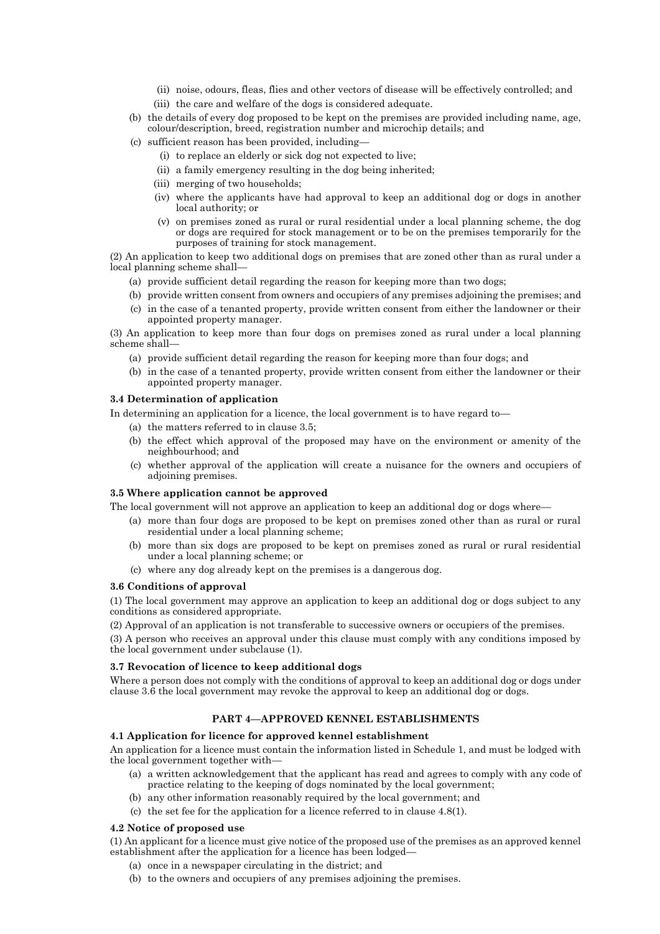- (ii) noise, odours, fleas, flies and other vectors of disease will be effectively controlled; and
- (iii) the care and welfare of the dogs is considered adequate.
- (b) the details of every dog proposed to be kept on the premises are provided including name, age, colour/description, breed, registration number and microchip details; and
- (c) sufficient reason has been provided, including—
	- (i) to replace an elderly or sick dog not expected to live;
	- (ii) a family emergency resulting in the dog being inherited;
	- (iii) merging of two households;
	- (iv) where the applicants have had approval to keep an additional dog or dogs in another local authority; or
	- (v) on premises zoned as rural or rural residential under a local planning scheme, the dog or dogs are required for stock management or to be on the premises temporarily for the purposes of training for stock management.

(2) An application to keep two additional dogs on premises that are zoned other than as rural under a local planning scheme shall—

- (a) provide sufficient detail regarding the reason for keeping more than two dogs;
- (b) provide written consent from owners and occupiers of any premises adjoining the premises; and
- (c) in the case of a tenanted property, provide written consent from either the landowner or their appointed property manager.

(3) An application to keep more than four dogs on premises zoned as rural under a local planning scheme shall—

- (a) provide sufficient detail regarding the reason for keeping more than four dogs; and
- (b) in the case of a tenanted property, provide written consent from either the landowner or their appointed property manager.

# **3.4 Determination of application**

In determining an application for a licence, the local government is to have regard to—

- (a) the matters referred to in clause 3.5;
- (b) the effect which approval of the proposed may have on the environment or amenity of the neighbourhood; and
- (c) whether approval of the application will create a nuisance for the owners and occupiers of adjoining premises.

#### **3.5 Where application cannot be approved**

The local government will not approve an application to keep an additional dog or dogs where—

- (a) more than four dogs are proposed to be kept on premises zoned other than as rural or rural residential under a local planning scheme;
- (b) more than six dogs are proposed to be kept on premises zoned as rural or rural residential under a local planning scheme; or
- (c) where any dog already kept on the premises is a dangerous dog.

#### **3.6 Conditions of approval**

(1) The local government may approve an application to keep an additional dog or dogs subject to any conditions as considered appropriate.

(2) Approval of an application is not transferable to successive owners or occupiers of the premises.

(3) A person who receives an approval under this clause must comply with any conditions imposed by the local government under subclause (1).

# **3.7 Revocation of licence to keep additional dogs**

Where a person does not comply with the conditions of approval to keep an additional dog or dogs under clause 3.6 the local government may revoke the approval to keep an additional dog or dogs.

# **PART 4—APPROVED KENNEL ESTABLISHMENTS**

# **4.1 Application for licence for approved kennel establishment**

An application for a licence must contain the information listed in Schedule 1, and must be lodged with the local government together with-

- (a) a written acknowledgement that the applicant has read and agrees to comply with any code of practice relating to the keeping of dogs nominated by the local government;
- (b) any other information reasonably required by the local government; and
- (c) the set fee for the application for a licence referred to in clause 4.8(1).

#### **4.2 Notice of proposed use**

(1) An applicant for a licence must give notice of the proposed use of the premises as an approved kennel establishment after the application for a licence has been lodged—

- (a) once in a newspaper circulating in the district; and
- (b) to the owners and occupiers of any premises adjoining the premises.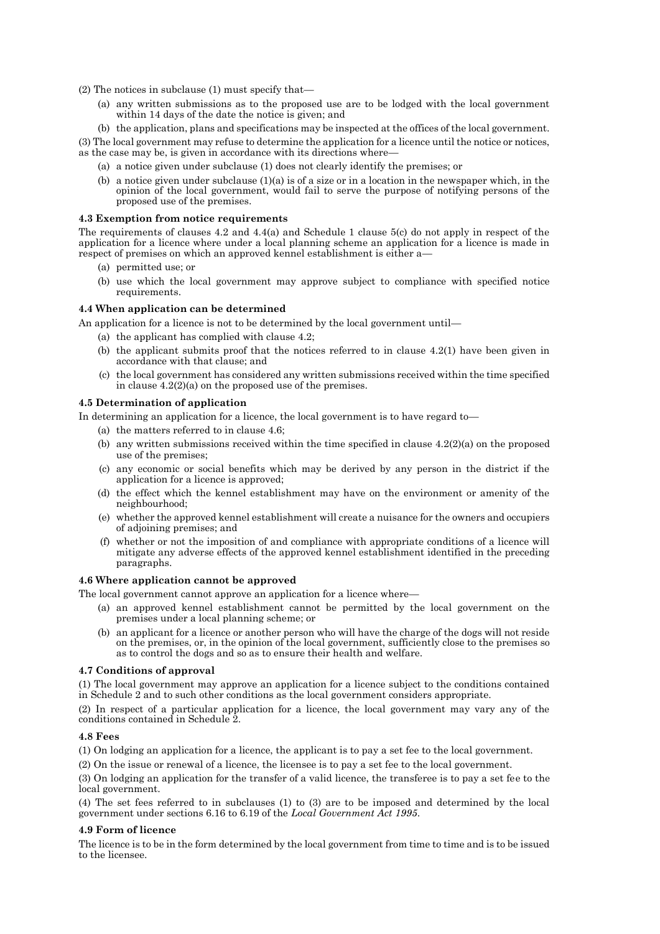(2) The notices in subclause (1) must specify that—

- (a) any written submissions as to the proposed use are to be lodged with the local government within 14 days of the date the notice is given; and
- (b) the application, plans and specifications may be inspected at the offices of the local government.

(3) The local government may refuse to determine the application for a licence until the notice or notices, as the case may be, is given in accordance with its directions where—

- (a) a notice given under subclause (1) does not clearly identify the premises; or
- (b) a notice given under subclause  $(1)(a)$  is of a size or in a location in the newspaper which, in the opinion of the local government, would fail to serve the purpose of notifying persons of the proposed use of the premises.

# **4.3 Exemption from notice requirements**

The requirements of clauses 4.2 and 4.4(a) and Schedule 1 clause 5(c) do not apply in respect of the application for a licence where under a local planning scheme an application for a licence is made in respect of premises on which an approved kennel establishment is either a—

- (a) permitted use; or
- (b) use which the local government may approve subject to compliance with specified notice requirements.

### **4.4 When application can be determined**

An application for a licence is not to be determined by the local government until—

- (a) the applicant has complied with clause 4.2;
- (b) the applicant submits proof that the notices referred to in clause 4.2(1) have been given in accordance with that clause; and
- (c) the local government has considered any written submissions received within the time specified in clause 4.2(2)(a) on the proposed use of the premises.

#### **4.5 Determination of application**

In determining an application for a licence, the local government is to have regard to—

- (a) the matters referred to in clause 4.6;
- (b) any written submissions received within the time specified in clause  $4.2(2)(a)$  on the proposed use of the premises;
- (c) any economic or social benefits which may be derived by any person in the district if the application for a licence is approved;
- (d) the effect which the kennel establishment may have on the environment or amenity of the neighbourhood;
- (e) whether the approved kennel establishment will create a nuisance for the owners and occupiers of adjoining premises; and
- (f) whether or not the imposition of and compliance with appropriate conditions of a licence will mitigate any adverse effects of the approved kennel establishment identified in the preceding paragraphs.

#### **4.6 Where application cannot be approved**

The local government cannot approve an application for a licence where—

- (a) an approved kennel establishment cannot be permitted by the local government on the premises under a local planning scheme; or
- (b) an applicant for a licence or another person who will have the charge of the dogs will not reside on the premises, or, in the opinion of the local government, sufficiently close to the premises so as to control the dogs and so as to ensure their health and welfare.

# **4.7 Conditions of approval**

(1) The local government may approve an application for a licence subject to the conditions contained in Schedule 2 and to such other conditions as the local government considers appropriate.

(2) In respect of a particular application for a licence, the local government may vary any of the conditions contained in Schedule 2.

# **4.8 Fees**

(1) On lodging an application for a licence, the applicant is to pay a set fee to the local government.

(2) On the issue or renewal of a licence, the licensee is to pay a set fee to the local government.

(3) On lodging an application for the transfer of a valid licence, the transferee is to pay a set fee to the local government.

(4) The set fees referred to in subclauses (1) to (3) are to be imposed and determined by the local government under sections 6.16 to 6.19 of the *Local Government Act 1995*.

# **4.9 Form of licence**

The licence is to be in the form determined by the local government from time to time and is to be issued to the licensee.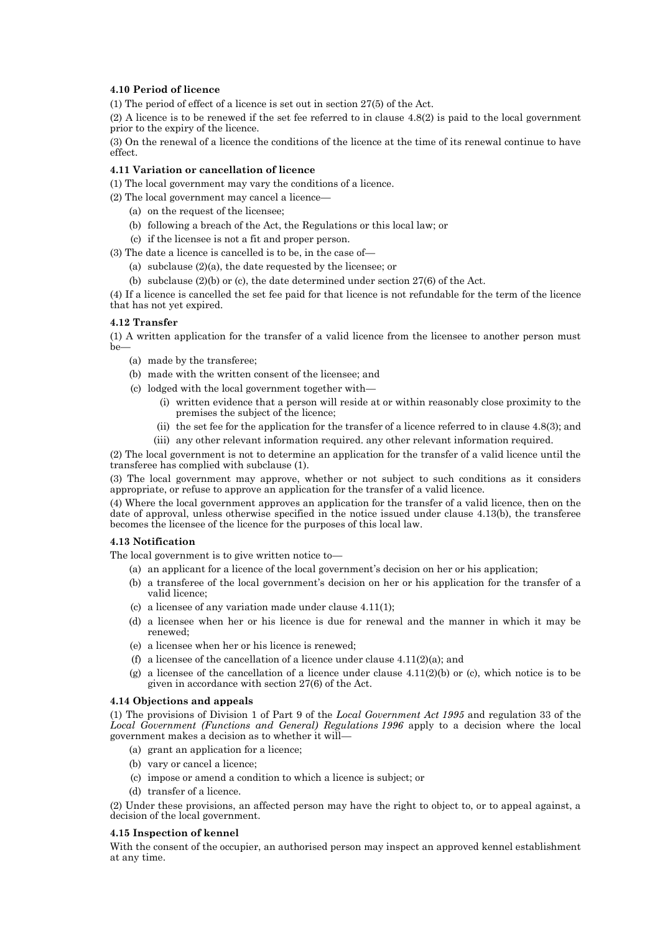## **4.10 Period of licence**

(1) The period of effect of a licence is set out in section 27(5) of the Act.

(2) A licence is to be renewed if the set fee referred to in clause 4.8(2) is paid to the local government prior to the expiry of the licence.

(3) On the renewal of a licence the conditions of the licence at the time of its renewal continue to have effect.

#### **4.11 Variation or cancellation of licence**

(1) The local government may vary the conditions of a licence.

(2) The local government may cancel a licence—

- (a) on the request of the licensee;
- (b) following a breach of the Act, the Regulations or this local law; or
- (c) if the licensee is not a fit and proper person.

(3) The date a licence is cancelled is to be, in the case of—

(a) subclause (2)(a), the date requested by the licensee; or

(b) subclause (2)(b) or (c), the date determined under section 27(6) of the Act.

(4) If a licence is cancelled the set fee paid for that licence is not refundable for the term of the licence that has not yet expired.

#### **4.12 Transfer**

(1) A written application for the transfer of a valid licence from the licensee to another person must be—

- (a) made by the transferee;
- (b) made with the written consent of the licensee; and
- (c) lodged with the local government together with—
	- (i) written evidence that a person will reside at or within reasonably close proximity to the premises the subject of the licence;
	- (ii) the set fee for the application for the transfer of a licence referred to in clause 4.8(3); and
	- (iii) any other relevant information required. any other relevant information required.

(2) The local government is not to determine an application for the transfer of a valid licence until the transferee has complied with subclause (1).

(3) The local government may approve, whether or not subject to such conditions as it considers appropriate, or refuse to approve an application for the transfer of a valid licence.

(4) Where the local government approves an application for the transfer of a valid licence, then on the date of approval, unless otherwise specified in the notice issued under clause 4.13(b), the transferee becomes the licensee of the licence for the purposes of this local law.

#### **4.13 Notification**

The local government is to give written notice to—

- (a) an applicant for a licence of the local government's decision on her or his application;
- (b) a transferee of the local government's decision on her or his application for the transfer of a valid licence;
- (c) a licensee of any variation made under clause 4.11(1);
- (d) a licensee when her or his licence is due for renewal and the manner in which it may be renewed;
- (e) a licensee when her or his licence is renewed;
- (f) a licensee of the cancellation of a licence under clause  $4.11(2)(a)$ ; and
- (g) a licensee of the cancellation of a licence under clause  $4.11(2)(b)$  or (c), which notice is to be given in accordance with section 27(6) of the Act.

#### **4.14 Objections and appeals**

(1) The provisions of Division 1 of Part 9 of the *Local Government Act 1995* and regulation 33 of the *Local Government (Functions and General) Regulations 1996* apply to a decision where the local government makes a decision as to whether it will—

- (a) grant an application for a licence;
- (b) vary or cancel a licence;
- (c) impose or amend a condition to which a licence is subject; or
- (d) transfer of a licence.

(2) Under these provisions, an affected person may have the right to object to, or to appeal against, a decision of the local government.

#### **4.15 Inspection of kennel**

With the consent of the occupier, an authorised person may inspect an approved kennel establishment at any time.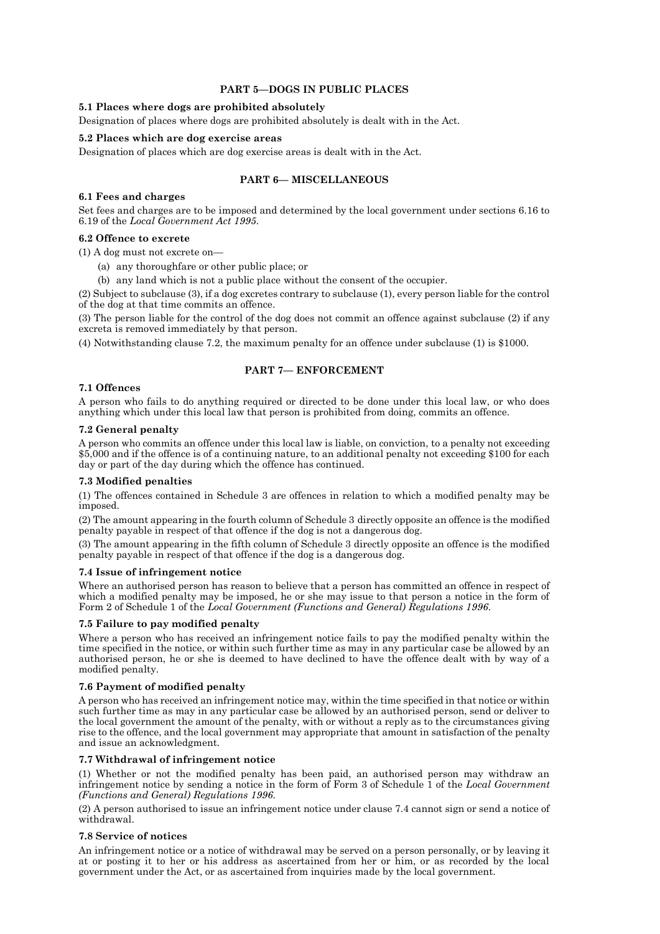# **PART 5—DOGS IN PUBLIC PLACES**

# **5.1 Places where dogs are prohibited absolutely**

Designation of places where dogs are prohibited absolutely is dealt with in the Act.

# **5.2 Places which are dog exercise areas**

Designation of places which are dog exercise areas is dealt with in the Act.

# **PART 6— MISCELLANEOUS**

#### **6.1 Fees and charges**

Set fees and charges are to be imposed and determined by the local government under sections 6.16 to 6.19 of the *Local Government Act 1995*.

#### **6.2 Offence to excrete**

(1) A dog must not excrete on—

- (a) any thoroughfare or other public place; or
- (b) any land which is not a public place without the consent of the occupier.

(2) Subject to subclause (3), if a dog excretes contrary to subclause (1), every person liable for the control of the dog at that time commits an offence.

(3) The person liable for the control of the dog does not commit an offence against subclause (2) if any excreta is removed immediately by that person.

(4) Notwithstanding clause 7.2, the maximum penalty for an offence under subclause (1) is \$1000.

# **PART 7— ENFORCEMENT**

# **7.1 Offences**

A person who fails to do anything required or directed to be done under this local law, or who does anything which under this local law that person is prohibited from doing, commits an offence.

## **7.2 General penalty**

A person who commits an offence under this local law is liable, on conviction, to a penalty not exceeding \$5,000 and if the offence is of a continuing nature, to an additional penalty not exceeding \$100 for each day or part of the day during which the offence has continued.

# **7.3 Modified penalties**

(1) The offences contained in Schedule 3 are offences in relation to which a modified penalty may be imposed.

(2) The amount appearing in the fourth column of Schedule 3 directly opposite an offence is the modified penalty payable in respect of that offence if the dog is not a dangerous dog.

(3) The amount appearing in the fifth column of Schedule 3 directly opposite an offence is the modified penalty payable in respect of that offence if the dog is a dangerous dog.

#### **7.4 Issue of infringement notice**

Where an authorised person has reason to believe that a person has committed an offence in respect of which a modified penalty may be imposed, he or she may issue to that person a notice in the form of Form 2 of Schedule 1 of the *Local Government (Functions and General) Regulations 1996*.

#### **7.5 Failure to pay modified penalty**

Where a person who has received an infringement notice fails to pay the modified penalty within the time specified in the notice, or within such further time as may in any particular case be allowed by an authorised person, he or she is deemed to have declined to have the offence dealt with by way of a modified penalty.

# **7.6 Payment of modified penalty**

A person who has received an infringement notice may, within the time specified in that notice or within such further time as may in any particular case be allowed by an authorised person, send or deliver to the local government the amount of the penalty, with or without a reply as to the circumstances giving rise to the offence, and the local government may appropriate that amount in satisfaction of the penalty and issue an acknowledgment.

# **7.7 Withdrawal of infringement notice**

(1) Whether or not the modified penalty has been paid, an authorised person may withdraw an infringement notice by sending a notice in the form of Form 3 of Schedule 1 of the *Local Government (Functions and General) Regulations 1996*.

(2) A person authorised to issue an infringement notice under clause 7.4 cannot sign or send a notice of withdrawal.

#### **7.8 Service of notices**

An infringement notice or a notice of withdrawal may be served on a person personally, or by leaving it at or posting it to her or his address as ascertained from her or him, or as recorded by the local government under the Act, or as ascertained from inquiries made by the local government.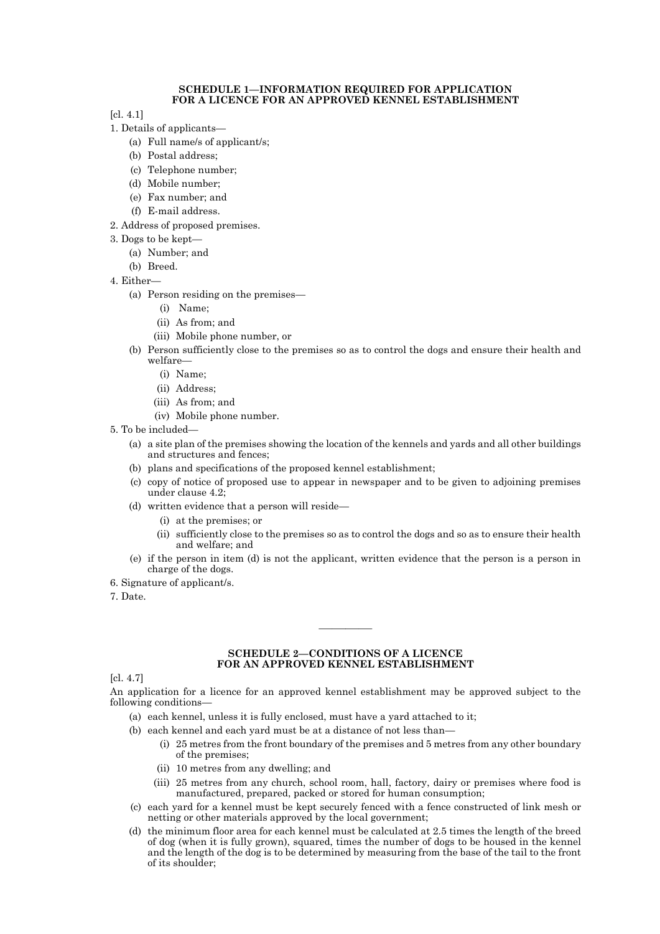#### **SCHEDULE 1—INFORMATION REQUIRED FOR APPLICATION FOR A LICENCE FOR AN APPROVED KENNEL ESTABLISHMENT**

[cl. 4.1]

- 1. Details of applicants—
	- (a) Full name/s of applicant/s;
	- (b) Postal address;
	- (c) Telephone number;
	- (d) Mobile number;
	- (e) Fax number; and
	- (f) E-mail address.
- 2. Address of proposed premises.
- 3. Dogs to be kept—
	- (a) Number; and
	- (b) Breed.
- 4. Either—
	- (a) Person residing on the premises—
		- (i) Name;
		- (ii) As from; and
		- (iii) Mobile phone number, or
	- (b) Person sufficiently close to the premises so as to control the dogs and ensure their health and welfare—
		- (i) Name;
		- (ii) Address;
		- (iii) As from; and
		- (iv) Mobile phone number.
- 5. To be included—
	- (a) a site plan of the premises showing the location of the kennels and yards and all other buildings and structures and fences;
	- (b) plans and specifications of the proposed kennel establishment;
	- (c) copy of notice of proposed use to appear in newspaper and to be given to adjoining premises under clause 4.2;
	- (d) written evidence that a person will reside—
		- (i) at the premises; or
		- (ii) sufficiently close to the premises so as to control the dogs and so as to ensure their health and welfare; and
	- (e) if the person in item (d) is not the applicant, written evidence that the person is a person in charge of the dogs.
- 6. Signature of applicant/s.
- 7. Date.

#### **SCHEDULE 2—CONDITIONS OF A LICENCE FOR AN APPROVED KENNEL ESTABLISHMENT**

————

[cl. 4.7]

An application for a licence for an approved kennel establishment may be approved subject to the following conditions—

- (a) each kennel, unless it is fully enclosed, must have a yard attached to it;
- (b) each kennel and each yard must be at a distance of not less than—
	- (i) 25 metres from the front boundary of the premises and 5 metres from any other boundary of the premises;
	- (ii) 10 metres from any dwelling; and
	- (iii) 25 metres from any church, school room, hall, factory, dairy or premises where food is manufactured, prepared, packed or stored for human consumption;
- (c) each yard for a kennel must be kept securely fenced with a fence constructed of link mesh or netting or other materials approved by the local government;
- (d) the minimum floor area for each kennel must be calculated at 2.5 times the length of the breed of dog (when it is fully grown), squared, times the number of dogs to be housed in the kennel and the length of the dog is to be determined by measuring from the base of the tail to the front of its shoulder;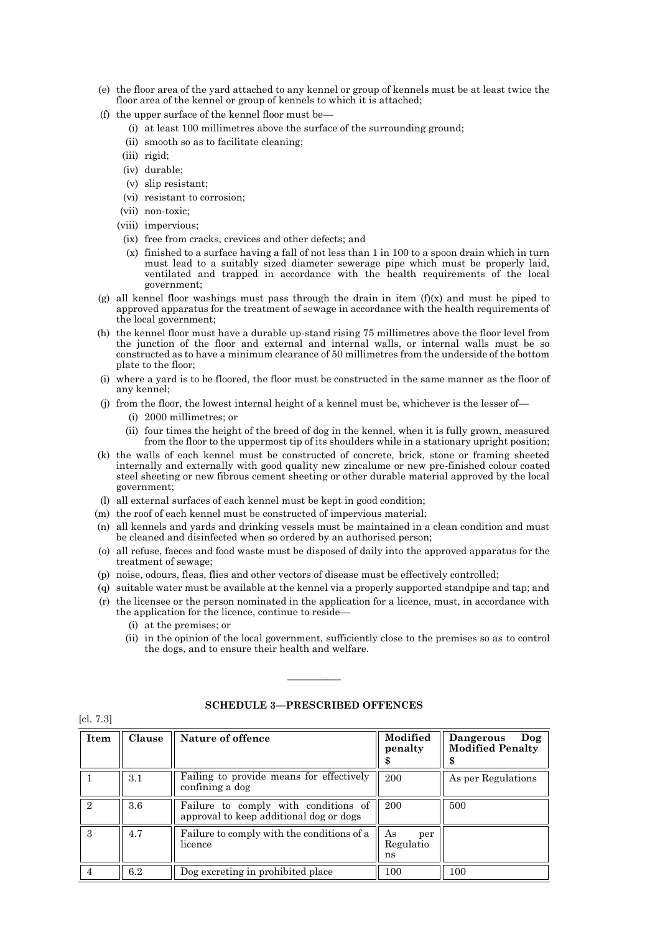- (e) the floor area of the yard attached to any kennel or group of kennels must be at least twice the floor area of the kennel or group of kennels to which it is attached;
- (f) the upper surface of the kennel floor must be—
	- (i) at least 100 millimetres above the surface of the surrounding ground;
	- (ii) smooth so as to facilitate cleaning;
	- (iii) rigid;
	- (iv) durable;
	- (v) slip resistant;
	- (vi) resistant to corrosion;
	- (vii) non-toxic;
	- (viii) impervious;
	- (ix) free from cracks, crevices and other defects; and
	- (x) finished to a surface having a fall of not less than 1 in 100 to a spoon drain which in turn must lead to a suitably sized diameter sewerage pipe which must be properly laid, ventilated and trapped in accordance with the health requirements of the local government;
- (g) all kennel floor washings must pass through the drain in item  $(f)(x)$  and must be piped to approved apparatus for the treatment of sewage in accordance with the health requirements of the local government;
- (h) the kennel floor must have a durable up-stand rising 75 millimetres above the floor level from the junction of the floor and external and internal walls, or internal walls must be so constructed as to have a minimum clearance of 50 millimetres from the underside of the bottom plate to the floor;
- (i) where a yard is to be floored, the floor must be constructed in the same manner as the floor of any kennel;
- (j) from the floor, the lowest internal height of a kennel must be, whichever is the lesser of—
	- (i) 2000 millimetres; or
	- (ii) four times the height of the breed of dog in the kennel, when it is fully grown, measured from the floor to the uppermost tip of its shoulders while in a stationary upright position;
- (k) the walls of each kennel must be constructed of concrete, brick, stone or framing sheeted internally and externally with good quality new zincalume or new pre-finished colour coated steel sheeting or new fibrous cement sheeting or other durable material approved by the local government;
- (l) all external surfaces of each kennel must be kept in good condition;
- (m) the roof of each kennel must be constructed of impervious material;
- (n) all kennels and yards and drinking vessels must be maintained in a clean condition and must be cleaned and disinfected when so ordered by an authorised person;
- (o) all refuse, faeces and food waste must be disposed of daily into the approved apparatus for the treatment of sewage;
- (p) noise, odours, fleas, flies and other vectors of disease must be effectively controlled;
- (q) suitable water must be available at the kennel via a properly supported standpipe and tap; and
- (r) the licensee or the person nominated in the application for a licence, must, in accordance with the application for the licence, continue to reside—
	- (i) at the premises; or

[cl. 7.3]

(ii) in the opinion of the local government, sufficiently close to the premises so as to control the dogs, and to ensure their health and welfare.

| Item | <b>Clause</b> | Nature of offence                                                               | Modified<br>penalty          | Dangerous<br>$\log$<br><b>Modified Penalty</b> |
|------|---------------|---------------------------------------------------------------------------------|------------------------------|------------------------------------------------|
|      | 3.1           | Failing to provide means for effectively<br>confining a dog                     | 200                          | As per Regulations                             |
| 2    | 3.6           | Failure to comply with conditions of<br>approval to keep additional dog or dogs | 200                          | 500                                            |
| 3    | 4.7           | Failure to comply with the conditions of a<br>licence                           | As<br>per<br>Regulatio<br>ns |                                                |
| 4    | 6.2           | Dog excreting in prohibited place                                               | 100                          | 100                                            |

# **SCHEDULE 3—PRESCRIBED OFFENCES**

————